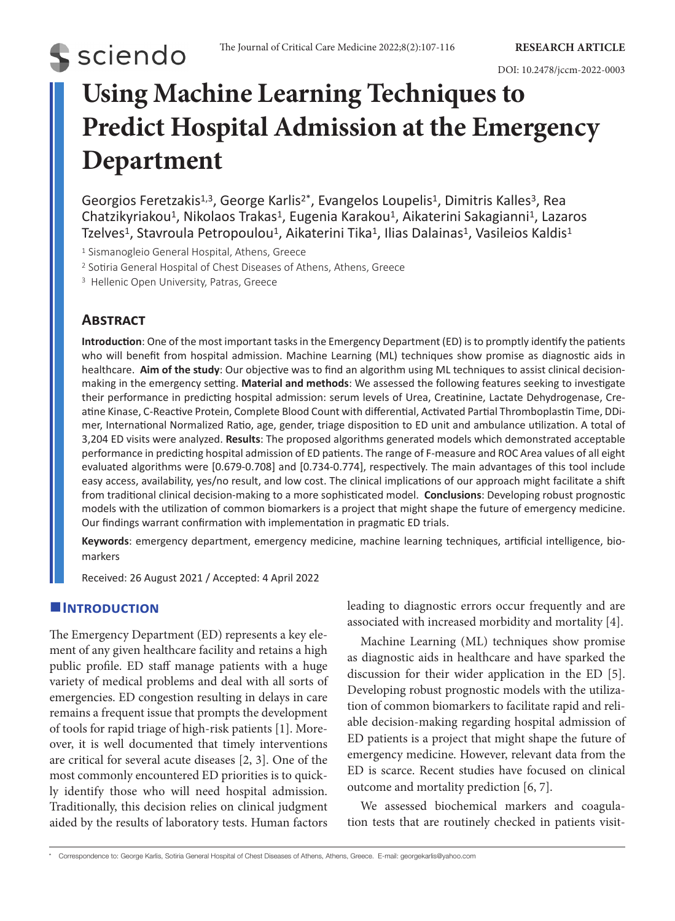# **S** sciendo

## **Using Machine Learning Techniques to Predict Hospital Admission at the Emergency Department**

Georgios Feretzakis<sup>1,3</sup>, George Karlis<sup>2\*</sup>, Evangelos Loupelis<sup>1</sup>, Dimitris Kalles<sup>3</sup>, Rea Chatzikyriakou<sup>1</sup>, Nikolaos Trakas<sup>1</sup>, Eugenia Karakou<sup>1</sup>, Aikaterini Sakagianni<sup>1</sup>, Lazaros Tzelves<sup>1</sup>, Stavroula Petropoulou<sup>1</sup>, Aikaterini Tika<sup>1</sup>, Ilias Dalainas<sup>1</sup>, Vasileios Kaldis<sup>1</sup>

<sup>1</sup> Sismanogleio General Hospital, Athens, Greece

<sup>2</sup> Sotiria General Hospital of Chest Diseases of Athens, Athens, Greece

<sup>3</sup> Hellenic Open University, Patras, Greece

### **Abstract**

**Introduction**: One of the most important tasks in the Emergency Department (ED) is to promptly identify the patients who will benefit from hospital admission. Machine Learning (ML) techniques show promise as diagnostic aids in healthcare. **Aim of the study**: Our objective was to find an algorithm using ML techniques to assist clinical decisionmaking in the emergency setting. **Material and methods**: We assessed the following features seeking to investigate their performance in predicting hospital admission: serum levels of Urea, Creatinine, Lactate Dehydrogenase, Creatine Kinase, C-Reactive Protein, Complete Blood Count with differential, Activated Partial Thromboplastin Time, DDimer, International Normalized Ratio, age, gender, triage disposition to ED unit and ambulance utilization. A total of 3,204 ED visits were analyzed. **Results**: The proposed algorithms generated models which demonstrated acceptable performance in predicting hospital admission of ED patients. The range of F-measure and ROC Area values of all eight evaluated algorithms were [0.679-0.708] and [0.734-0.774], respectively. The main advantages of this tool include easy access, availability, yes/no result, and low cost. The clinical implications of our approach might facilitate a shift from traditional clinical decision-making to a more sophisticated model. **Conclusions**: Developing robust prognostic models with the utilization of common biomarkers is a project that might shape the future of emergency medicine. Our findings warrant confirmation with implementation in pragmatic ED trials.

**Keywords**: emergency department, emergency medicine, machine learning techniques, artificial intelligence, biomarkers

Received: 26 August 2021 / Accepted: 4 April 2022

#### **Introduction**

The Emergency Department (ED) represents a key element of any given healthcare facility and retains a high public profile. ED staff manage patients with a huge variety of medical problems and deal with all sorts of emergencies. ED congestion resulting in delays in care remains a frequent issue that prompts the development of tools for rapid triage of high-risk patients [1]. Moreover, it is well documented that timely interventions are critical for several acute diseases [2, 3]. One of the most commonly encountered ED priorities is to quickly identify those who will need hospital admission. Traditionally, this decision relies on clinical judgment aided by the results of laboratory tests. Human factors

leading to diagnostic errors occur frequently and are associated with increased morbidity and mortality [4].

Machine Learning (ML) techniques show promise as diagnostic aids in healthcare and have sparked the discussion for their wider application in the ED [5]. Developing robust prognostic models with the utilization of common biomarkers to facilitate rapid and reliable decision-making regarding hospital admission of ED patients is a project that might shape the future of emergency medicine. However, relevant data from the ED is scarce. Recent studies have focused on clinical outcome and mortality prediction [6, 7].

We assessed biochemical markers and coagulation tests that are routinely checked in patients visit-

\* Correspondence to: George Karlis, Sotiria General Hospital of Chest Diseases of Athens, Athens, Greece. E-mail: georgekarlis@yahoo.com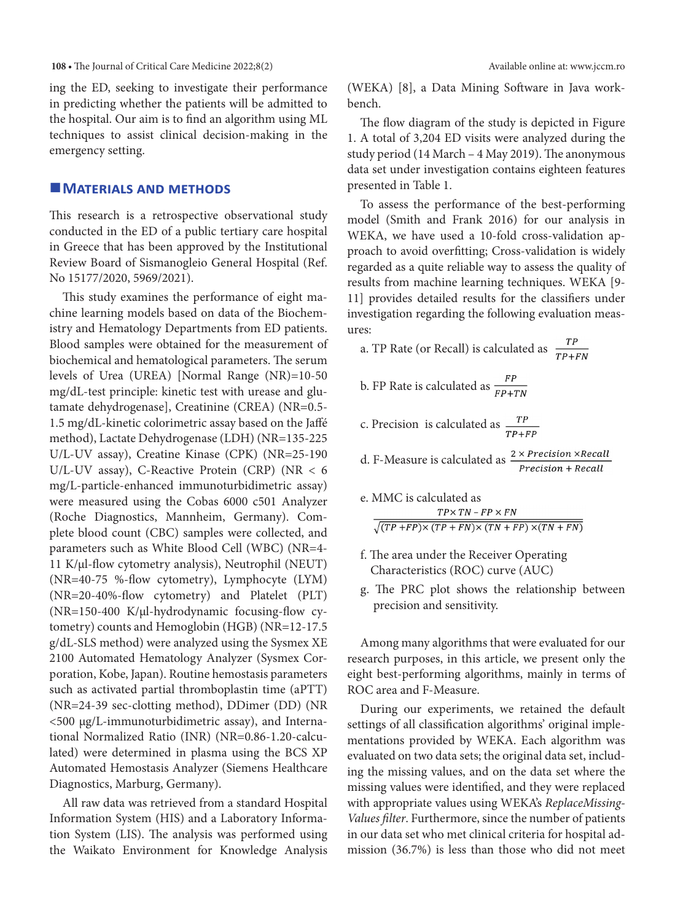ing the ED, seeking to investigate their performance in predicting whether the patients will be admitted to the hospital. Our aim is to find an algorithm using ML techniques to assist clinical decision-making in the emergency setting.

#### **MATERIALS AND METHODS**

This research is a retrospective observational study conducted in the ED of a public tertiary care hospital in Greece that has been approved by the Institutional Review Board of Sismanogleio General Hospital (Ref. No 15177/2020, 5969/2021).

This study examines the performance of eight machine learning models based on data of the Biochemistry and Hematology Departments from ED patients. Blood samples were obtained for the measurement of biochemical and hematological parameters. The serum levels of Urea (UREA) [Normal Range (NR)=10-50 mg/dL-test principle: kinetic test with urease and glutamate dehydrogenase], Creatinine (CREA) (NR=0.5- 1.5 mg/dL-kinetic colorimetric assay based on the Jaffé method), Lactate Dehydrogenase (LDH) (NR=135-225 U/L-UV assay), Creatine Kinase (CPK) (NR=25-190 U/L-UV assay), C-Reactive Protein (CRP) (NR < 6 mg/L-particle-enhanced immunoturbidimetric assay) were measured using the Cobas 6000 c501 Analyzer (Roche Diagnostics, Mannheim, Germany). Complete blood count (CBC) samples were collected, and parameters such as White Blood Cell (WBC) (NR=4- 11 K/μl-flow cytometry analysis), Neutrophil (NEUT) (NR=40-75 %-flow cytometry), Lymphocyte (LYM) (NR=20-40%-flow cytometry) and Platelet (PLT) (NR=150-400 K/μl-hydrodynamic focusing-flow cytometry) counts and Hemoglobin (HGB) (NR=12-17.5 g/dL-SLS method) were analyzed using the Sysmex XE 2100 Automated Hematology Analyzer (Sysmex Corporation, Kobe, Japan). Routine hemostasis parameters such as activated partial thromboplastin time (aPTT) (NR=24-39 sec-clotting method), DDimer (DD) (NR <500 μg/L-immunoturbidimetric assay), and International Normalized Ratio (INR) (NR=0.86-1.20-calculated) were determined in plasma using the BCS XP Automated Hemostasis Analyzer (Siemens Healthcare Diagnostics, Marburg, Germany).

All raw data was retrieved from a standard Hospital Information System (HIS) and a Laboratory Information System (LIS). The analysis was performed using the Waikato Environment for Knowledge Analysis (WEKA) [8], a Data Mining Software in Java workbench.

The flow diagram of the study is depicted in Figure 1. A total of 3,204 ED visits were analyzed during the study period (14 March – 4 May 2019). The anonymous data set under investigation contains eighteen features presented in Table 1.

To assess the performance of the best-performing model (Smith and Frank 2016) for our analysis in WEKA, we have used a 10-fold cross-validation approach to avoid overfitting; Cross-validation is widely regarded as a quite reliable way to assess the quality of results from machine learning techniques. WEKA [9- 11] provides detailed results for the classifiers under investigation regarding the following evaluation measures:

| a. TP Rate (or Recall) is calculated as $\frac{TP}{TP+FN}$                                       |
|--------------------------------------------------------------------------------------------------|
| b. FP Rate is calculated as $\frac{FP}{FP+TN}$                                                   |
| c. Precision is calculated as $\frac{TP}{TP}$<br>$TP+FP$                                         |
| d. F-Measure is calculated as $\frac{2 \times Precision \times Recall}{2}$<br>Precision + Recall |
| $\cdot$ MMC : $\cdot$ . $1\cdot$ . $1\cdot$                                                      |

| e. MINIC is calculated as                                             |  |  |  |  |  |  |  |  |  |  |  |
|-----------------------------------------------------------------------|--|--|--|--|--|--|--|--|--|--|--|
| $TP \times TN$ – $FP \times FN$                                       |  |  |  |  |  |  |  |  |  |  |  |
| $\sqrt{(TP + FP) \times (TP + FN) \times (TN + FP) \times (TN + FN)}$ |  |  |  |  |  |  |  |  |  |  |  |

- f. The area under the Receiver Operating Characteristics (ROC) curve (AUC)
- g. The PRC plot shows the relationship between precision and sensitivity.

Among many algorithms that were evaluated for our research purposes, in this article, we present only the eight best-performing algorithms, mainly in terms of ROC area and F-Measure.

During our experiments, we retained the default settings of all classification algorithms' original implementations provided by WEKA. Each algorithm was evaluated on two data sets; the original data set, including the missing values, and on the data set where the missing values were identified, and they were replaced with appropriate values using WEKA's *ReplaceMissing-Values filter*. Furthermore, since the number of patients in our data set who met clinical criteria for hospital admission (36.7%) is less than those who did not meet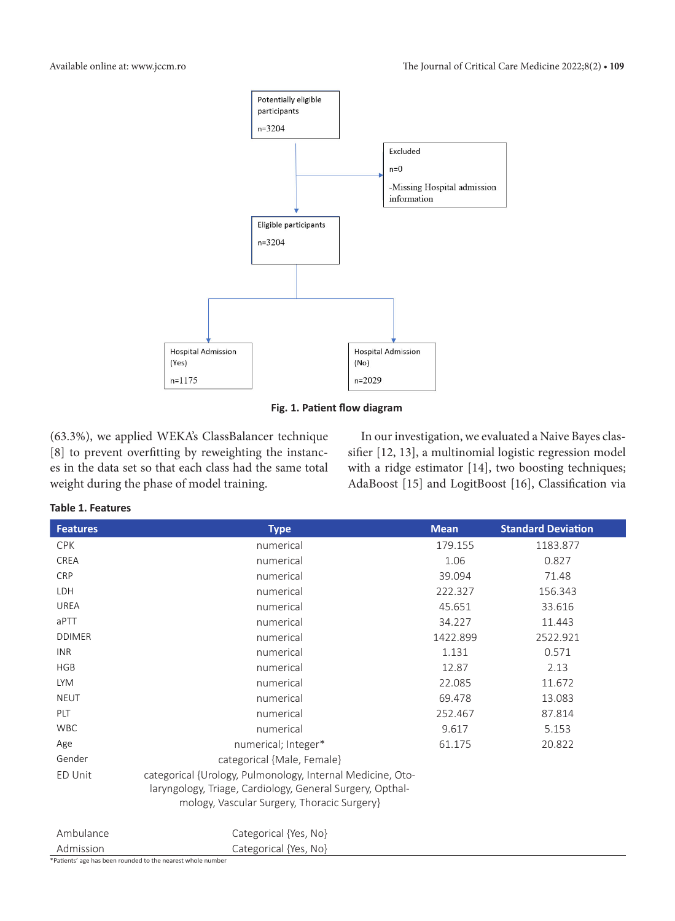

**Fig. 1. Patient flow diagram**

(63.3%), we applied WEKA's ClassBalancer technique [8] to prevent overfitting by reweighting the instances in the data set so that each class had the same total weight during the phase of model training.

In our investigation, we evaluated a Naive Bayes classifier [12, 13], a multinomial logistic regression model with a ridge estimator [14], two boosting techniques; AdaBoost [15] and LogitBoost [16], Classification via

#### **Table 1. Features**

| <b>Features</b> | <b>Type</b>                                                                                                                                                            | <b>Mean</b> | <b>Standard Deviation</b> |
|-----------------|------------------------------------------------------------------------------------------------------------------------------------------------------------------------|-------------|---------------------------|
| <b>CPK</b>      | numerical                                                                                                                                                              | 179.155     | 1183.877                  |
| <b>CREA</b>     | numerical                                                                                                                                                              | 1.06        | 0.827                     |
| <b>CRP</b>      | numerical                                                                                                                                                              | 39.094      | 71.48                     |
| LDH             | numerical                                                                                                                                                              | 222.327     | 156.343                   |
| UREA            | numerical                                                                                                                                                              | 45.651      | 33.616                    |
| aPTT            | numerical                                                                                                                                                              | 34.227      | 11.443                    |
| <b>DDIMER</b>   | numerical                                                                                                                                                              | 1422.899    | 2522.921                  |
| <b>INR</b>      | numerical                                                                                                                                                              | 1.131       | 0.571                     |
| <b>HGB</b>      | numerical                                                                                                                                                              | 12.87       | 2.13                      |
| <b>LYM</b>      | numerical                                                                                                                                                              | 22.085      | 11.672                    |
| <b>NEUT</b>     | numerical                                                                                                                                                              | 69.478      | 13.083                    |
| PLT             | numerical                                                                                                                                                              | 252.467     | 87.814                    |
| <b>WBC</b>      | numerical                                                                                                                                                              | 9.617       | 5.153                     |
| Age             | numerical; Integer*                                                                                                                                                    | 61.175      | 20.822                    |
| Gender          | categorical {Male, Female}                                                                                                                                             |             |                           |
| ED Unit         | categorical {Urology, Pulmonology, Internal Medicine, Oto-<br>laryngology, Triage, Cardiology, General Surgery, Opthal-<br>mology, Vascular Surgery, Thoracic Surgery} |             |                           |
| Ambulance       | Categorical {Yes, No}                                                                                                                                                  |             |                           |
| Admission       | Categorical {Yes, No}                                                                                                                                                  |             |                           |

\*Patients' age has been rounded to the nearest whole number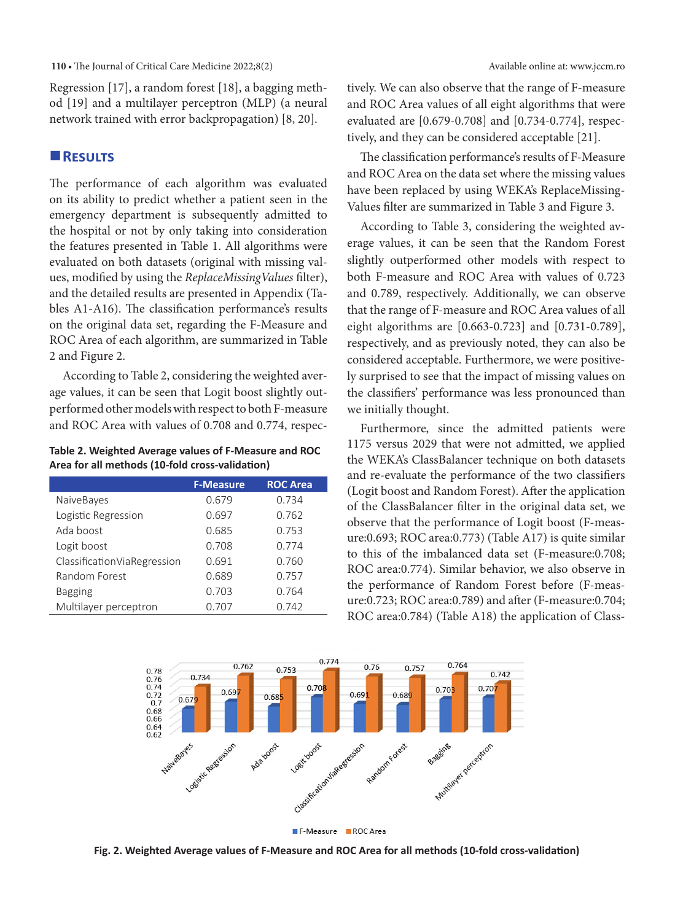#### **110** • The Journal of Critical Care Medicine 2022;8(2) Available online at: www.jccm.ro

Regression [17], a random forest [18], a bagging method [19] and a multilayer perceptron (MLP) (a neural network trained with error backpropagation) [8, 20].

#### **Results**

The performance of each algorithm was evaluated on its ability to predict whether a patient seen in the emergency department is subsequently admitted to the hospital or not by only taking into consideration the features presented in Table 1. All algorithms were evaluated on both datasets (original with missing values, modified by using the *ReplaceMissingValues* filter), and the detailed results are presented in Appendix (Tables A1-A16). The classification performance's results on the original data set, regarding the F-Measure and ROC Area of each algorithm, are summarized in Table 2 and Figure 2.

According to Table 2, considering the weighted average values, it can be seen that Logit boost slightly outperformed other models with respect to both F-measure and ROC Area with values of 0.708 and 0.774, respec-

**Table 2. Weighted Average values of F-Measure and ROC Area for all methods (10-fold cross-validation)**

|                               | <b>F-Measure</b> | <b>ROC Area</b> |
|-------------------------------|------------------|-----------------|
| NaiveBayes                    | 0.679            | 0.734           |
| Logistic Regression           | 0.697            | 0.762           |
| Ada boost                     | 0.685            | 0.753           |
| Logit boost                   | 0.708            | 0.774           |
| Classification Via Regression | 0.691            | 0.760           |
| Random Forest                 | 0.689            | 0.757           |
| <b>Bagging</b>                | 0.703            | 0.764           |
| Multilayer perceptron         | 0.707            | 0.742           |

tively. We can also observe that the range of F-measure and ROC Area values of all eight algorithms that were evaluated are [0.679-0.708] and [0.734-0.774], respectively, and they can be considered acceptable [21].

The classification performance's results of F-Measure and ROC Area on the data set where the missing values have been replaced by using WEKA's ReplaceMissing-Values filter are summarized in Table 3 and Figure 3.

According to Table 3, considering the weighted average values, it can be seen that the Random Forest slightly outperformed other models with respect to both F-measure and ROC Area with values of 0.723 and 0.789, respectively. Additionally, we can observe that the range of F-measure and ROC Area values of all eight algorithms are [0.663-0.723] and [0.731-0.789], respectively, and as previously noted, they can also be considered acceptable. Furthermore, we were positively surprised to see that the impact of missing values on the classifiers' performance was less pronounced than we initially thought.

Furthermore, since the admitted patients were 1175 versus 2029 that were not admitted, we applied the WEKA's ClassBalancer technique on both datasets and re-evaluate the performance of the two classifiers (Logit boost and Random Forest). After the application of the ClassBalancer filter in the original data set, we observe that the performance of Logit boost (F-measure:0.693; ROC area:0.773) (Table A17) is quite similar to this of the imbalanced data set (F-measure:0.708; ROC area:0.774). Similar behavior, we also observe in the performance of Random Forest before (F-measure:0.723; ROC area:0.789) and after (F-measure:0.704; ROC area:0.784) (Table A18) the application of Class-



**Fig. 2. Weighted Average values of F-Measure and ROC Area for all methods (10-fold cross-validation)**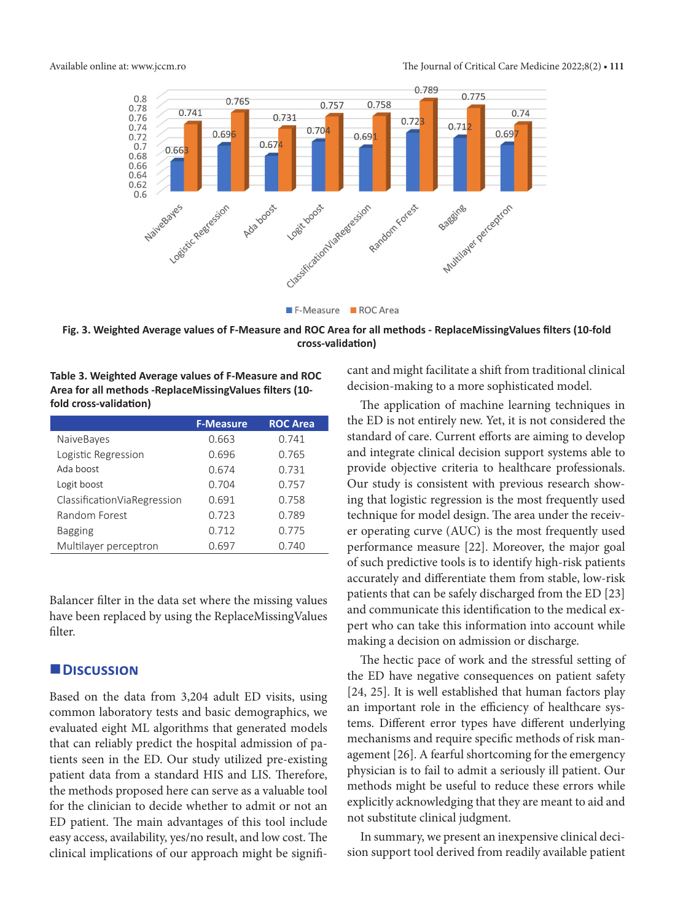

**Fig. 3. Weighted Average values of F-Measure and ROC Area for all methods - ReplaceMissingValues filters (10-fold cross-validation)**

**Table 3. Weighted Average values of F-Measure and ROC Area for all methods -ReplaceMissingValues filters (10 fold cross-validation)**

|                               | <b>F-Measure</b> | <b>ROC Area</b> |
|-------------------------------|------------------|-----------------|
| <b>NaiveBayes</b>             | 0.663            | 0.741           |
| Logistic Regression           | 0.696            | 0.765           |
| Ada boost                     | 0.674            | 0.731           |
| Logit boost                   | 0.704            | 0.757           |
| Classification Via Regression | 0.691            | 0.758           |
| Random Forest                 | 0.723            | 0.789           |
| <b>Bagging</b>                | 0.712            | 0.775           |
| Multilayer perceptron         | 0.697            | 0.740           |

Balancer filter in the data set where the missing values have been replaced by using the ReplaceMissingValues filter.

#### **Discussion**

Based on the data from 3,204 adult ED visits, using common laboratory tests and basic demographics, we evaluated eight ML algorithms that generated models that can reliably predict the hospital admission of patients seen in the ED. Our study utilized pre-existing patient data from a standard HIS and LIS. Therefore, the methods proposed here can serve as a valuable tool for the clinician to decide whether to admit or not an ED patient. The main advantages of this tool include easy access, availability, yes/no result, and low cost. The clinical implications of our approach might be significant and might facilitate a shift from traditional clinical decision-making to a more sophisticated model.

The application of machine learning techniques in the ED is not entirely new. Yet, it is not considered the standard of care. Current efforts are aiming to develop and integrate clinical decision support systems able to provide objective criteria to healthcare professionals. Our study is consistent with previous research showing that logistic regression is the most frequently used technique for model design. The area under the receiver operating curve (AUC) is the most frequently used performance measure [22]. Moreover, the major goal of such predictive tools is to identify high-risk patients accurately and differentiate them from stable, low-risk patients that can be safely discharged from the ED [23] and communicate this identification to the medical expert who can take this information into account while making a decision on admission or discharge.

The hectic pace of work and the stressful setting of the ED have negative consequences on patient safety [24, 25]. It is well established that human factors play an important role in the efficiency of healthcare systems. Different error types have different underlying mechanisms and require specific methods of risk management [26]. A fearful shortcoming for the emergency physician is to fail to admit a seriously ill patient. Our methods might be useful to reduce these errors while explicitly acknowledging that they are meant to aid and not substitute clinical judgment.

In summary, we present an inexpensive clinical decision support tool derived from readily available patient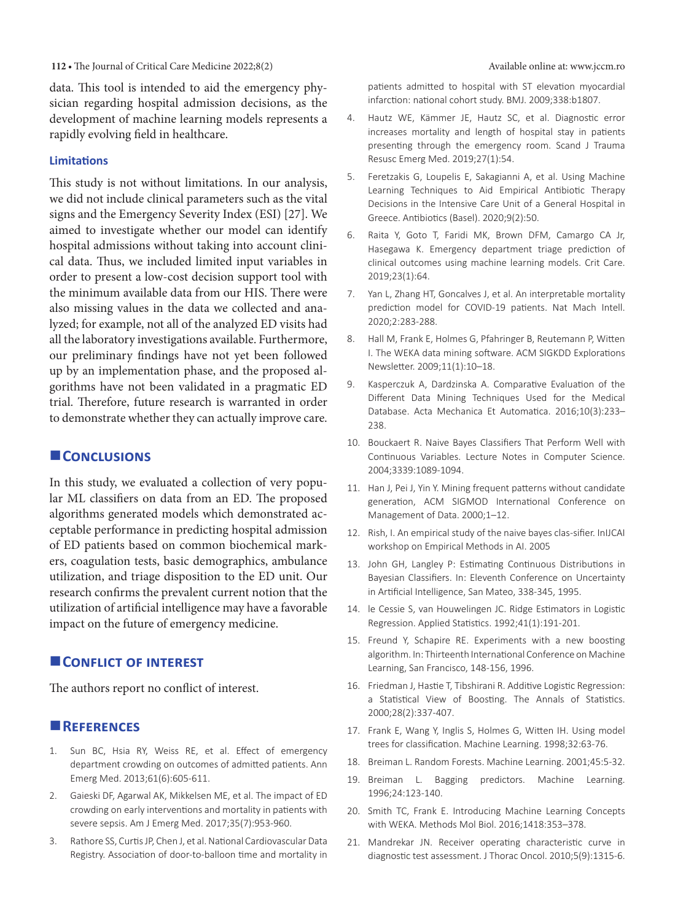data. This tool is intended to aid the emergency physician regarding hospital admission decisions, as the development of machine learning models represents a rapidly evolving field in healthcare.

#### **Limitations**

This study is not without limitations. In our analysis, we did not include clinical parameters such as the vital signs and the Emergency Severity Index (ESI) [27]. We aimed to investigate whether our model can identify hospital admissions without taking into account clinical data. Thus, we included limited input variables in order to present a low-cost decision support tool with the minimum available data from our HIS. Τhere were also missing values in the data we collected and analyzed; for example, not all of the analyzed ED visits had all the laboratory investigations available. Furthermore, our preliminary findings have not yet been followed up by an implementation phase, and the proposed algorithms have not been validated in a pragmatic ED trial. Therefore, future research is warranted in order to demonstrate whether they can actually improve care.

#### **Conclusions**

In this study, we evaluated a collection of very popular ML classifiers on data from an ED. The proposed algorithms generated models which demonstrated acceptable performance in predicting hospital admission of ED patients based on common biochemical markers, coagulation tests, basic demographics, ambulance utilization, and triage disposition to the ED unit. Our research confirms the prevalent current notion that the utilization of artificial intelligence may have a favorable impact on the future of emergency medicine.

#### **CONFLICT OF INTEREST**

The authors report no conflict of interest.

#### **References**

- 1. Sun BC, Hsia RY, Weiss RE, et al. Effect of emergency department crowding on outcomes of admitted patients. Ann Emerg Med. 2013;61(6):605-611.
- 2. Gaieski DF, Agarwal AK, Mikkelsen ME, et al. The impact of ED crowding on early interventions and mortality in patients with severe sepsis. Am J Emerg Med. 2017;35(7):953-960.
- 3. Rathore SS, Curtis JP, Chen J, et al. National Cardiovascular Data Registry. Association of door-to-balloon time and mortality in

patients admitted to hospital with ST elevation myocardial infarction: national cohort study. BMJ. 2009;338:b1807.

- 4. Hautz WE, Kämmer JE, Hautz SC, et al. Diagnostic error increases mortality and length of hospital stay in patients presenting through the emergency room. Scand J Trauma Resusc Emerg Med. 2019;27(1):54.
- 5. Feretzakis G, Loupelis E, Sakagianni A, et al. Using Machine Learning Techniques to Aid Empirical Antibiotic Therapy Decisions in the Intensive Care Unit of a General Hospital in Greece. Antibiotics (Basel). 2020;9(2):50.
- 6. Raita Y, Goto T, Faridi MK, Brown DFM, Camargo CA Jr, Hasegawa K. Emergency department triage prediction of clinical outcomes using machine learning models. Crit Care. 2019;23(1):64.
- 7. Yan L, Zhang HT, Goncalves J, et al. An interpretable mortality prediction model for COVID-19 patients. Nat Mach Intell. 2020;2:283-288.
- 8. Hall M, Frank E, Holmes G, Pfahringer B, Reutemann P, Witten I. The WEKA data mining software. ACM SIGKDD Explorations Newsletter. 2009;11(1):10–18.
- 9. Kasperczuk A, Dardzinska A. Comparative Evaluation of the Different Data Mining Techniques Used for the Medical Database. Acta Mechanica Et Automatica. 2016;10(3):233– 238.
- 10. Bouckaert R. Naive Bayes Classifiers That Perform Well with Continuous Variables. Lecture Notes in Computer Science. 2004;3339:1089-1094.
- 11. Han J, Pei J, Yin Y. Mining frequent patterns without candidate generation, ACM SIGMOD International Conference on Management of Data. 2000;1–12.
- 12. Rish, I. An empirical study of the naive bayes clas-sifier. InIJCAI workshop on Empirical Methods in AI. 2005
- 13. John GH, Langley P: Estimating Continuous Distributions in Bayesian Classifiers. In: Eleventh Conference on Uncertainty in Artificial Intelligence, San Mateo, 338-345, 1995.
- 14. le Cessie S, van Houwelingen JC. Ridge Estimators in Logistic Regression. Applied Statistics. 1992;41(1):191-201.
- 15. Freund Y, Schapire RE. Experiments with a new boosting algorithm. In: Thirteenth International Conference on Machine Learning, San Francisco, 148-156, 1996.
- 16. Friedman J, Hastie T, Tibshirani R. Additive Logistic Regression: a Statistical View of Boosting. The Annals of Statistics. 2000;28(2):337-407.
- 17. Frank E, Wang Y, Inglis S, Holmes G, Witten IH. Using model trees for classification. Machine Learning. 1998;32:63-76.
- 18. Breiman L. Random Forests. Machine Learning. 2001;45:5-32.
- 19. Breiman L. Bagging predictors. Machine Learning. 1996;24:123-140.
- 20. Smith TC, Frank E. Introducing Machine Learning Concepts with WEKA. Methods Mol Biol. 2016;1418:353–378.
- 21. Mandrekar JN. Receiver operating characteristic curve in diagnostic test assessment. J Thorac Oncol. 2010;5(9):1315-6.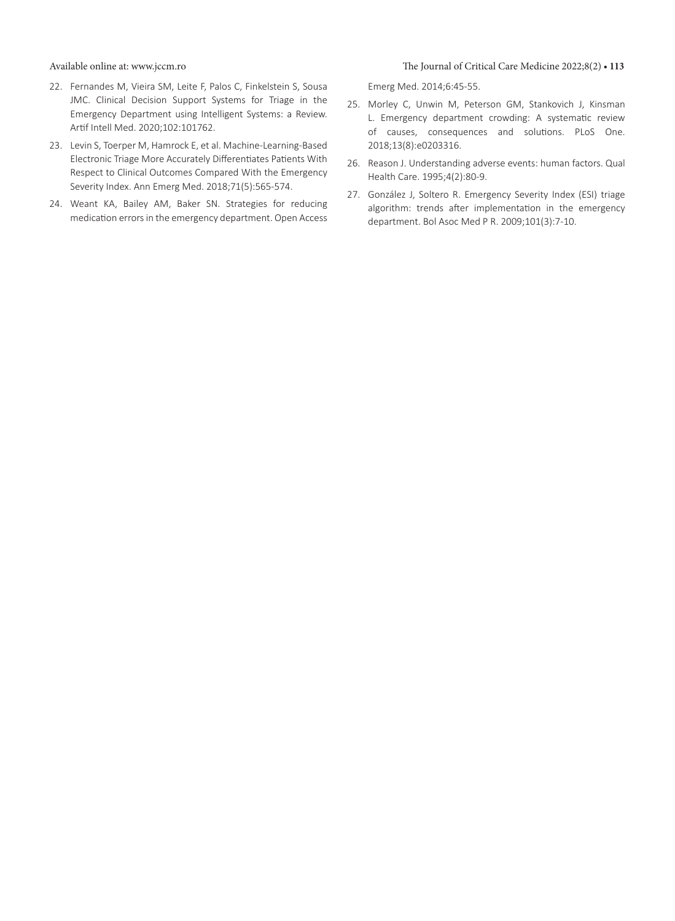- 22. Fernandes M, Vieira SM, Leite F, Palos C, Finkelstein S, Sousa JMC. Clinical Decision Support Systems for Triage in the Emergency Department using Intelligent Systems: a Review. Artif Intell Med. 2020;102:101762.
- 23. Levin S, Toerper M, Hamrock E, et al. Machine-Learning-Based Electronic Triage More Accurately Differentiates Patients With Respect to Clinical Outcomes Compared With the Emergency Severity Index. Ann Emerg Med. 2018;71(5):565-574.
- 24. Weant KA, Bailey AM, Baker SN. Strategies for reducing medication errorsin the emergency department. Open Access

#### Available online at: www.jccm.ro The Journal of Critical Care Medicine 2022;8(2) **• 113**

Emerg Med. 2014;6:45-55.

- 25. Morley C, Unwin M, Peterson GM, Stankovich J, Kinsman L. Emergency department crowding: A systematic review of causes, consequences and solutions. PLoS One. 2018;13(8):e0203316.
- 26. Reason J. Understanding adverse events: human factors. Qual Health Care. 1995;4(2):80-9.
- 27. González J, Soltero R. Emergency Severity Index (ESI) triage algorithm: trends after implementation in the emergency department. Bol Asoc Med P R. 2009;101(3):7-10.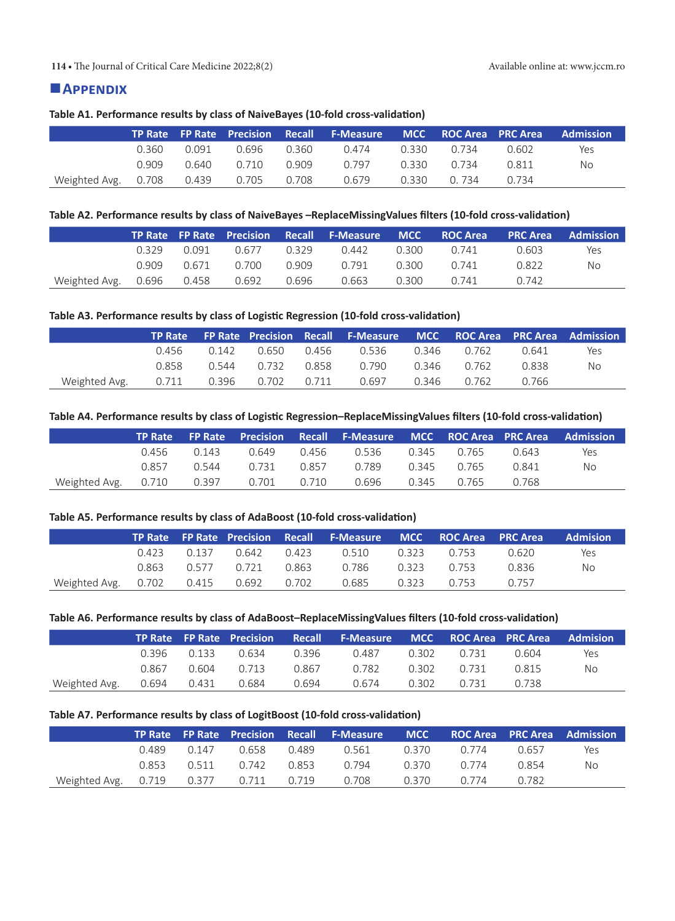#### **114 •** The Journal of Critical Care Medicine 2022;8(2) Available online at: www.jccm.ro

#### **Appendix**

#### **Table A1. Performance results by class of NaiveBayes (10-fold cross-validation)**

|                                 |       |       |             |       | TP Rate FP Rate Precision Recall F-Measure MCC ROC Area PRC Area Admission |             |       |     |
|---------------------------------|-------|-------|-------------|-------|----------------------------------------------------------------------------|-------------|-------|-----|
|                                 | 0.360 | 0.091 | 0.696       | 0.360 | 0.474                                                                      | 0.330 0.734 | 0.602 | Yes |
|                                 | 0.909 |       | 0.640 0.710 | 0.909 | 0.797                                                                      | 0.330 0.734 | 0.811 | No  |
| Weighted Avg. 0.708 0.439 0.705 |       |       |             | 0.708 | 0.679                                                                      | 0.330 0.734 | በ 734 |     |

#### **Table A2. Performance results by class of NaiveBayes –ReplaceMissingValues filters (10-fold cross-validation)**

|                                       |       |       |                   | TP Rate FP Rate Precision Recall F-Measure MCC ROC Area PRC Area Admission |       |       |       |     |
|---------------------------------------|-------|-------|-------------------|----------------------------------------------------------------------------|-------|-------|-------|-----|
|                                       | 0.329 | 0.091 | 0.677 0.329       | 0.442                                                                      | 0.300 | 0.741 | 0.603 | Yes |
|                                       | 0.909 |       | 0.671 0.700 0.909 | 0.791                                                                      | 0.300 | በ 741 | 0.822 | No. |
| Weighted Avg. 0.696 0.458 0.692 0.696 |       |       |                   | 0.663                                                                      | 0.300 | 0.741 | 0.742 |     |

#### **Table A3. Performance results by class of Logistic Regression (10-fold cross-validation)**

|               |       |                       | TP Rate FP Rate Precision Recall F-Measure MCC ROC Area PRC Area Admission |       |       |       |     |
|---------------|-------|-----------------------|----------------------------------------------------------------------------|-------|-------|-------|-----|
|               |       |                       | 0.536                                                                      | 0.346 | 0.762 | 0.641 | Yes |
|               | 0.858 | 0.544   0.732   0.858 | 0.790                                                                      | 0.346 | 0.762 | 0.838 | No  |
| Weighted Avg. |       |                       | 0.697                                                                      | 0.346 | 0.762 | 0.766 |     |

#### **Table A4. Performance results by class of Logistic Regression–ReplaceMissingValues filters (10-fold cross-validation)**

|                                                         |             |             | TP Rate FP Rate Precision Recall F-Measure MCC ROC Area PRC Area Admission |                   |       |     |
|---------------------------------------------------------|-------------|-------------|----------------------------------------------------------------------------|-------------------|-------|-----|
|                                                         | 0.456 0.143 | 0.649 0.456 |                                                                            | 0.536 0.345 0.765 | 0.643 | Yes |
|                                                         |             |             | 0.857  0.544  0.731  0.857  0.789  0.345  0.765                            |                   | 0.841 | No  |
| Weighted Avg. 0.710 0.397 0.701 0.710 0.696 0.345 0.765 |             |             |                                                                            |                   | 0.768 |     |

#### **Table A5. Performance results by class of AdaBoost (10-fold cross-validation)**

|                                           |       |  | TP Rate FP Rate Precision Recall F-Measure MCC ROC Area PRC Area |             |       | <b>Admision</b> |
|-------------------------------------------|-------|--|------------------------------------------------------------------|-------------|-------|-----------------|
|                                           |       |  | 0.423 0.137 0.642 0.423 0.510 0.323 0.753                        |             | 0.620 | Yes             |
|                                           | 0.863 |  | 0.577 0.721 0.863 0.786 0.323 0.753                              |             | 0.836 | No              |
| Weighted Avg.  0.702  0.415  0.692  0.702 |       |  | 0.685                                                            | 0.323 0.753 | 0.757 |                 |

#### **Table A6. Performance results by class of AdaBoost–ReplaceMissingValues filters (10-fold cross-validation)**

|                                           |                     |       | TP Rate FP Rate Precision Recall F-Measure MCC ROC Area PRC Area Admision |             |       |     |
|-------------------------------------------|---------------------|-------|---------------------------------------------------------------------------|-------------|-------|-----|
|                                           | 0.396 0.133 0.634   | 0.396 | 0.487                                                                     | 0.302 0.731 | 0.604 | Yes |
|                                           | 0.867  0.604  0.713 | 0.867 | 0.782                                                                     | 0.302 0.731 | 0.815 | No  |
| Weighted Avg.  0.694  0.431  0.684  0.694 |                     |       | 0.674                                                                     | 0.302 0.731 | 0.738 |     |

#### **Table A7. Performance results by class of LogitBoost (10-fold cross-validation)**

|                                             |  |                                   | TP Rate FP Rate Precision Recall F-Measure MCC ROC Area PRC Area Admission |       |             |              |     |
|---------------------------------------------|--|-----------------------------------|----------------------------------------------------------------------------|-------|-------------|--------------|-----|
|                                             |  | 0.489   0.147   0.658   0.489     | 0.561                                                                      |       | 0.370 0.774 | 0.657        | Yes |
|                                             |  | 0.853  0.511  0.742  0.853  0.794 |                                                                            |       | 0.370 0.774 | <u>በ ጸ54</u> | No. |
| Weighted Avg. 0.719 0.377 0.711 0.719 0.708 |  |                                   |                                                                            | 0.370 | 0.774       | 0.782        |     |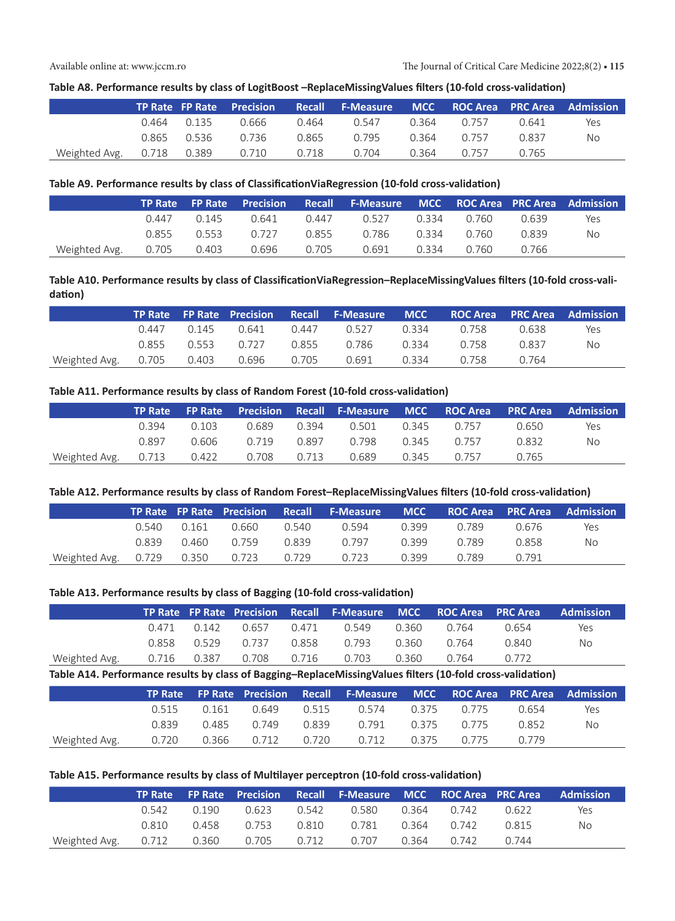#### **Table A8. Performance results by class of LogitBoost –ReplaceMissingValues filters (10-fold cross-validation)**

|                                             |  |                     | TP Rate FP Rate Precision Recall F-Measure MCC ROC Area PRC Area Admission |       |       |       |     |
|---------------------------------------------|--|---------------------|----------------------------------------------------------------------------|-------|-------|-------|-----|
|                                             |  |                     | 0.464  0.135  0.666  0.464  0.547  0.364  0.757                            |       |       | 0.641 | Yes |
|                                             |  | 0.865  0.536  0.736 | 0.865 0.795 0.364 0.757                                                    |       |       | 0.837 | No  |
| Weighted Avg. 0.718 0.389 0.710 0.718 0.704 |  |                     |                                                                            | 0.364 | 0.757 | 0.765 |     |

#### **Table A9. Performance results by class of ClassificationViaRegression (10-fold cross-validation)**

|                             |  | <b>TP Rate FP Rate Precision</b> |       | Recall F-Measure MCC ROCArea PRCArea Admission |       |             |       |     |
|-----------------------------|--|----------------------------------|-------|------------------------------------------------|-------|-------------|-------|-----|
|                             |  | 0.447 0.145 0.641                |       | 0.447 0.527                                    |       | 0.334 0.760 | 0.639 | Yes |
|                             |  | 0.855 0.553 0.727                |       | 0.855 0.786 0.334 0.760                        |       |             | 0.839 | No. |
| Weighted Avg. $0.705$ 0.403 |  | 0.696                            | 0.705 | 0.691                                          | 0.334 | 0.760       | 0.766 |     |

#### **Table A10. Performance results by class of ClassificationViaRegression–ReplaceMissingValues filters (10-fold cross-validation)**

|                                                         |  |  | TP Rate FP Rate Precision Recall F-Measure MCC ROC Area PRC Area Admission |  |       |     |
|---------------------------------------------------------|--|--|----------------------------------------------------------------------------|--|-------|-----|
|                                                         |  |  | 0.447  0.145  0.641  0.447  0.527  0.334  0.758                            |  | 0.638 | Yes |
|                                                         |  |  | 0.855  0.553  0.727  0.855  0.786  0.334  0.758                            |  | 0.837 | No. |
| Weighted Avg. 0.705 0.403 0.696 0.705 0.691 0.334 0.758 |  |  |                                                                            |  | 0.764 |     |

#### **Table A11. Performance results by class of Random Forest (10-fold cross-validation)**

|                                                  |       |       |             |       |             |       | TP Rate FP Rate Precision Recall F-Measure MCC ROC Area PRC Area Admission |
|--------------------------------------------------|-------|-------|-------------|-------|-------------|-------|----------------------------------------------------------------------------|
|                                                  | 0.394 | 0.103 | 0.689 0.394 | 0.501 | 0.345 0.757 | 0.650 | Yes                                                                        |
|                                                  | 0.897 | 0.606 |             |       | 0.345 0.757 | 0.832 | No                                                                         |
| Weighted Avg.  0.713  0.422  0.708  0.713  0.689 |       |       |             |       | 0.345 0.757 | 0.765 |                                                                            |

#### **Table A12. Performance results by class of Random Forest–ReplaceMissingValues filters (10-fold cross-validation)**

|                                       |       |       |       |       | TP Rate FP Rate Precision Recall F-Measure MCC ROC Area PRC Area Admission |        |       |       |     |
|---------------------------------------|-------|-------|-------|-------|----------------------------------------------------------------------------|--------|-------|-------|-----|
|                                       | 0.540 | 0.161 | 0.660 | 0.540 | 0.594                                                                      | 0.399  | 0.789 | 0.676 | Yes |
|                                       | 0.839 |       |       |       | 0.797                                                                      | (1.399 | 0.789 | 0.858 | No  |
| Weighted Avg. 0.729 0.350 0.723 0.729 |       |       |       |       | 0.723                                                                      | 0.399  | 0.789 | 0.791 |     |

#### **Table A13. Performance results by class of Bagging (10-fold cross-validation)**

|                                                  |       |                                   |             |       |       |       | TP Rate FP Rate Precision Recall F-Measure MCC ROC Area PRC Area Admission |
|--------------------------------------------------|-------|-----------------------------------|-------------|-------|-------|-------|----------------------------------------------------------------------------|
|                                                  |       | 0.471  0.142  0.657  0.471  0.549 |             | 0.360 | 0.764 | 0.654 | Yes                                                                        |
|                                                  | 0.858 | 0.529 0.737                       | 0.858 0.793 | 0.360 | 0.764 | 0.840 | No                                                                         |
| Weighted Avg.  0.716  0.387  0.708  0.716  0.703 |       |                                   |             | 0.360 | 0.764 | በ 772 |                                                                            |

**Table A14. Performance results by class of Bagging–ReplaceMissingValues filters (10-fold cross-validation)**

|                                                                |       |             | TP Rate FP Rate Precision Recall F-Measure MCC ROC Area PRC Area Admission |  |       |     |
|----------------------------------------------------------------|-------|-------------|----------------------------------------------------------------------------|--|-------|-----|
|                                                                |       |             | 0.515 0.161 0.649 0.515 0.574 0.375 0.775                                  |  | 0.654 | Yes |
|                                                                | 0.839 | 0.485 0.749 | 0.839   0.791   0.375   0.775                                              |  | 0.852 | No. |
| Weighted Avg.  0.720  0.366  0.712  0.720  0.712  0.375  0.775 |       |             |                                                                            |  | በ 779 |     |

#### **Table A15. Performance results by class of Multilayer perceptron (10-fold cross-validation)**

|                                                               |  |  | TP Rate FP Rate Precision Recall F-Measure MCC ROC Area PRC Area Admission |  |     |
|---------------------------------------------------------------|--|--|----------------------------------------------------------------------------|--|-----|
|                                                               |  |  | 0.542 0.190 0.623 0.542 0.580 0.364 0.742 0.622                            |  | Yes |
|                                                               |  |  | 0.810  0.458  0.753  0.810  0.781  0.364  0.742  0.815                     |  | No. |
| Weighted Avg. 0.712 0.360 0.705 0.712 0.707 0.364 0.742 0.744 |  |  |                                                                            |  |     |